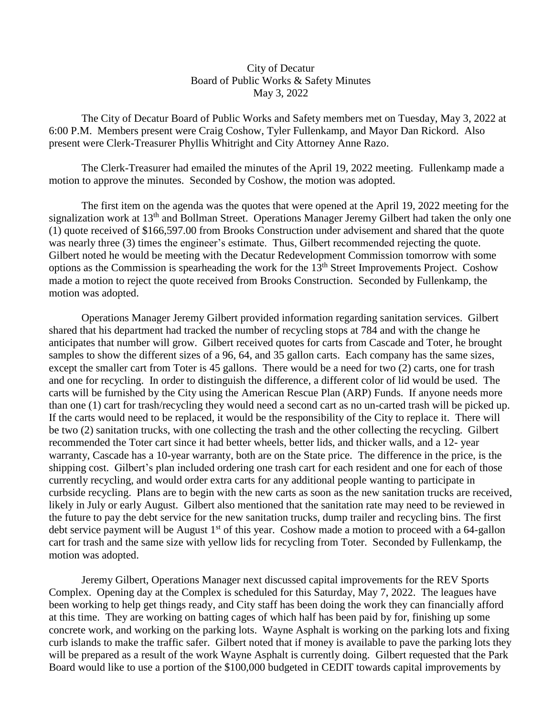## City of Decatur Board of Public Works & Safety Minutes May 3, 2022

 The City of Decatur Board of Public Works and Safety members met on Tuesday, May 3, 2022 at 6:00 P.M. Members present were Craig Coshow, Tyler Fullenkamp, and Mayor Dan Rickord. Also present were Clerk-Treasurer Phyllis Whitright and City Attorney Anne Razo.

 The Clerk-Treasurer had emailed the minutes of the April 19, 2022 meeting. Fullenkamp made a motion to approve the minutes. Seconded by Coshow, the motion was adopted.

 The first item on the agenda was the quotes that were opened at the April 19, 2022 meeting for the signalization work at 13<sup>th</sup> and Bollman Street. Operations Manager Jeremy Gilbert had taken the only one (1) quote received of \$166,597.00 from Brooks Construction under advisement and shared that the quote was nearly three (3) times the engineer's estimate. Thus, Gilbert recommended rejecting the quote. Gilbert noted he would be meeting with the Decatur Redevelopment Commission tomorrow with some options as the Commission is spearheading the work for the 13th Street Improvements Project. Coshow made a motion to reject the quote received from Brooks Construction. Seconded by Fullenkamp, the motion was adopted.

 Operations Manager Jeremy Gilbert provided information regarding sanitation services. Gilbert shared that his department had tracked the number of recycling stops at 784 and with the change he anticipates that number will grow. Gilbert received quotes for carts from Cascade and Toter, he brought samples to show the different sizes of a 96, 64, and 35 gallon carts. Each company has the same sizes, except the smaller cart from Toter is 45 gallons. There would be a need for two (2) carts, one for trash and one for recycling. In order to distinguish the difference, a different color of lid would be used. The carts will be furnished by the City using the American Rescue Plan (ARP) Funds. If anyone needs more than one (1) cart for trash/recycling they would need a second cart as no un-carted trash will be picked up. If the carts would need to be replaced, it would be the responsibility of the City to replace it. There will be two (2) sanitation trucks, with one collecting the trash and the other collecting the recycling. Gilbert recommended the Toter cart since it had better wheels, better lids, and thicker walls, and a 12- year warranty, Cascade has a 10-year warranty, both are on the State price. The difference in the price, is the shipping cost. Gilbert's plan included ordering one trash cart for each resident and one for each of those currently recycling, and would order extra carts for any additional people wanting to participate in curbside recycling. Plans are to begin with the new carts as soon as the new sanitation trucks are received, likely in July or early August. Gilbert also mentioned that the sanitation rate may need to be reviewed in the future to pay the debt service for the new sanitation trucks, dump trailer and recycling bins. The first debt service payment will be August 1<sup>st</sup> of this year. Coshow made a motion to proceed with a 64-gallon cart for trash and the same size with yellow lids for recycling from Toter. Seconded by Fullenkamp, the motion was adopted.

 Jeremy Gilbert, Operations Manager next discussed capital improvements for the REV Sports Complex. Opening day at the Complex is scheduled for this Saturday, May 7, 2022. The leagues have been working to help get things ready, and City staff has been doing the work they can financially afford at this time. They are working on batting cages of which half has been paid by for, finishing up some concrete work, and working on the parking lots. Wayne Asphalt is working on the parking lots and fixing curb islands to make the traffic safer. Gilbert noted that if money is available to pave the parking lots they will be prepared as a result of the work Wayne Asphalt is currently doing. Gilbert requested that the Park Board would like to use a portion of the \$100,000 budgeted in CEDIT towards capital improvements by